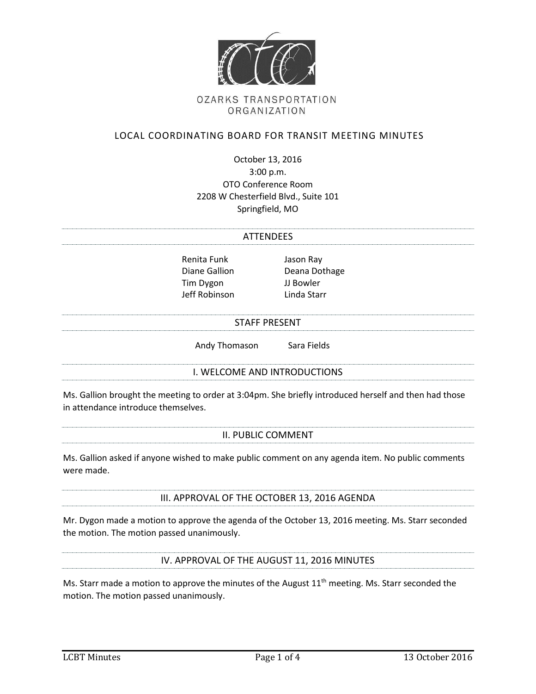

### **OZARKS TRANSPORTATION** ORGANIZATION

## LOCAL COORDINATING BOARD FOR TRANSIT MEETING MINUTES

October 13, 2016 3:00 p.m. OTO Conference Room 2208 W Chesterfield Blvd., Suite 101 Springfield, MO

#### ATTENDEES

Renita Funk Jason Ray Tim Dygon JJ Bowler Jeff Robinson Linda Starr

Diane Gallion Deana Dothage

### STAFF PRESENT

Andy Thomason Sara Fields

I. WELCOME AND INTRODUCTIONS

Ms. Gallion brought the meeting to order at 3:04pm. She briefly introduced herself and then had those in attendance introduce themselves.

#### II. PUBLIC COMMENT

Ms. Gallion asked if anyone wished to make public comment on any agenda item. No public comments were made.

III. APPROVAL OF THE OCTOBER 13, 2016 AGENDA

Mr. Dygon made a motion to approve the agenda of the October 13, 2016 meeting. Ms. Starr seconded the motion. The motion passed unanimously.

IV. APPROVAL OF THE AUGUST 11, 2016 MINUTES

Ms. Starr made a motion to approve the minutes of the August  $11<sup>th</sup>$  meeting. Ms. Starr seconded the motion. The motion passed unanimously.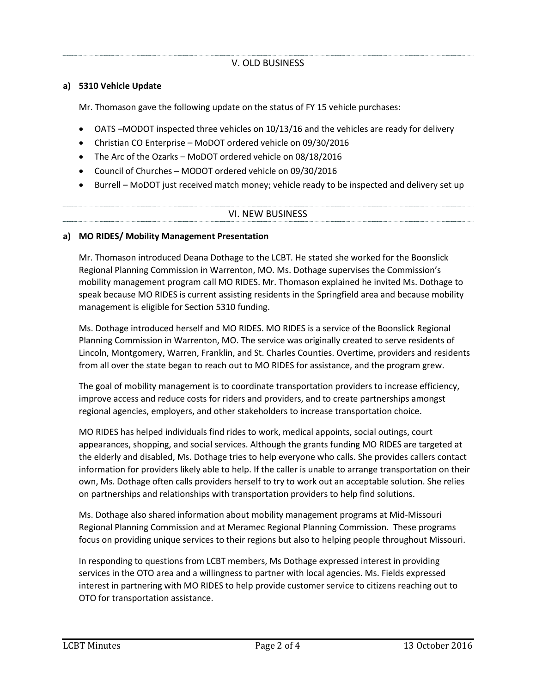## **a) 5310 Vehicle Update**

Mr. Thomason gave the following update on the status of FY 15 vehicle purchases:

- OATS –MODOT inspected three vehicles on 10/13/16 and the vehicles are ready for delivery
- Christian CO Enterprise MoDOT ordered vehicle on 09/30/2016
- The Arc of the Ozarks MoDOT ordered vehicle on 08/18/2016
- Council of Churches MODOT ordered vehicle on 09/30/2016
- Burrell MoDOT just received match money; vehicle ready to be inspected and delivery set up

### VI. NEW BUSINESS

### **a) MO RIDES/ Mobility Management Presentation**

Mr. Thomason introduced Deana Dothage to the LCBT. He stated she worked for the Boonslick Regional Planning Commission in Warrenton, MO. Ms. Dothage supervises the Commission's mobility management program call MO RIDES. Mr. Thomason explained he invited Ms. Dothage to speak because MO RIDES is current assisting residents in the Springfield area and because mobility management is eligible for Section 5310 funding.

Ms. Dothage introduced herself and MO RIDES. MO RIDES is a service of the Boonslick Regional Planning Commission in Warrenton, MO. The service was originally created to serve residents of Lincoln, Montgomery, Warren, Franklin, and St. Charles Counties. Overtime, providers and residents from all over the state began to reach out to MO RIDES for assistance, and the program grew.

The goal of mobility management is to coordinate transportation providers to increase efficiency, improve access and reduce costs for riders and providers, and to create partnerships amongst regional agencies, employers, and other stakeholders to increase transportation choice.

MO RIDES has helped individuals find rides to work, medical appoints, social outings, court appearances, shopping, and social services. Although the grants funding MO RIDES are targeted at the elderly and disabled, Ms. Dothage tries to help everyone who calls. She provides callers contact information for providers likely able to help. If the caller is unable to arrange transportation on their own, Ms. Dothage often calls providers herself to try to work out an acceptable solution. She relies on partnerships and relationships with transportation providers to help find solutions.

Ms. Dothage also shared information about mobility management programs at Mid-Missouri Regional Planning Commission and at Meramec Regional Planning Commission. These programs focus on providing unique services to their regions but also to helping people throughout Missouri.

In responding to questions from LCBT members, Ms Dothage expressed interest in providing services in the OTO area and a willingness to partner with local agencies. Ms. Fields expressed interest in partnering with MO RIDES to help provide customer service to citizens reaching out to OTO for transportation assistance.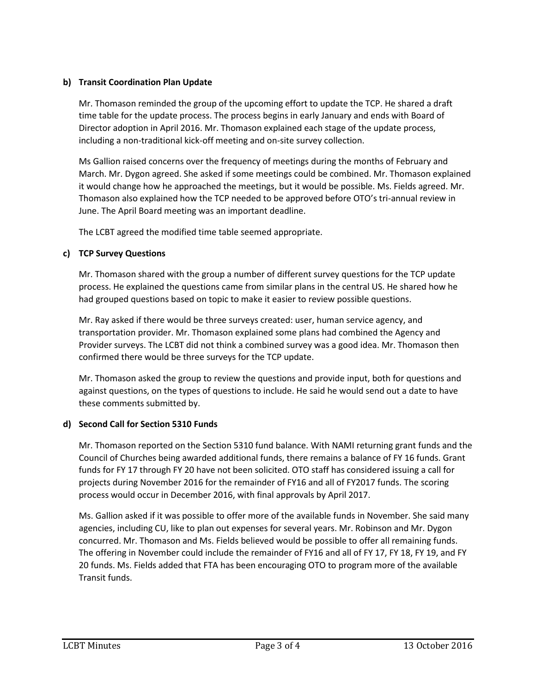# **b) Transit Coordination Plan Update**

Mr. Thomason reminded the group of the upcoming effort to update the TCP. He shared a draft time table for the update process. The process begins in early January and ends with Board of Director adoption in April 2016. Mr. Thomason explained each stage of the update process, including a non-traditional kick-off meeting and on-site survey collection.

Ms Gallion raised concerns over the frequency of meetings during the months of February and March. Mr. Dygon agreed. She asked if some meetings could be combined. Mr. Thomason explained it would change how he approached the meetings, but it would be possible. Ms. Fields agreed. Mr. Thomason also explained how the TCP needed to be approved before OTO's tri-annual review in June. The April Board meeting was an important deadline.

The LCBT agreed the modified time table seemed appropriate.

# **c) TCP Survey Questions**

Mr. Thomason shared with the group a number of different survey questions for the TCP update process. He explained the questions came from similar plans in the central US. He shared how he had grouped questions based on topic to make it easier to review possible questions.

Mr. Ray asked if there would be three surveys created: user, human service agency, and transportation provider. Mr. Thomason explained some plans had combined the Agency and Provider surveys. The LCBT did not think a combined survey was a good idea. Mr. Thomason then confirmed there would be three surveys for the TCP update.

Mr. Thomason asked the group to review the questions and provide input, both for questions and against questions, on the types of questions to include. He said he would send out a date to have these comments submitted by.

## **d) Second Call for Section 5310 Funds**

Mr. Thomason reported on the Section 5310 fund balance. With NAMI returning grant funds and the Council of Churches being awarded additional funds, there remains a balance of FY 16 funds. Grant funds for FY 17 through FY 20 have not been solicited. OTO staff has considered issuing a call for projects during November 2016 for the remainder of FY16 and all of FY2017 funds. The scoring process would occur in December 2016, with final approvals by April 2017.

Ms. Gallion asked if it was possible to offer more of the available funds in November. She said many agencies, including CU, like to plan out expenses for several years. Mr. Robinson and Mr. Dygon concurred. Mr. Thomason and Ms. Fields believed would be possible to offer all remaining funds. The offering in November could include the remainder of FY16 and all of FY 17, FY 18, FY 19, and FY 20 funds. Ms. Fields added that FTA has been encouraging OTO to program more of the available Transit funds.